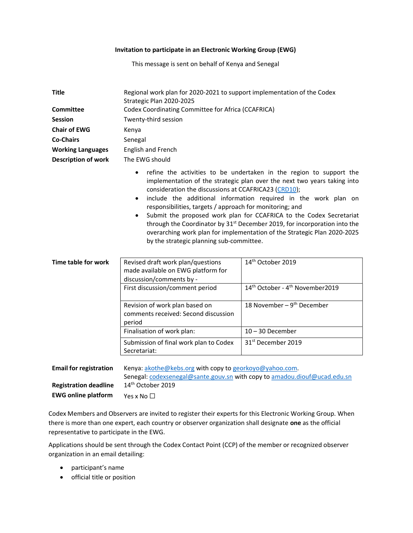### Invitation to participate in an Electronic Working Group (EWG)

This message is sent on behalf of Kenya and Senegal

| <b>Title</b>               | Regional work plan for 2020-2021 to support implementation of the Codex<br>Strategic Plan 2020-2025                                                                                                                                                                                                                                                                                                                                                                                                                                                                                                                                                           |  |  |
|----------------------------|---------------------------------------------------------------------------------------------------------------------------------------------------------------------------------------------------------------------------------------------------------------------------------------------------------------------------------------------------------------------------------------------------------------------------------------------------------------------------------------------------------------------------------------------------------------------------------------------------------------------------------------------------------------|--|--|
| <b>Committee</b>           | Codex Coordinating Committee for Africa (CCAFRICA)                                                                                                                                                                                                                                                                                                                                                                                                                                                                                                                                                                                                            |  |  |
| <b>Session</b>             | Twenty-third session                                                                                                                                                                                                                                                                                                                                                                                                                                                                                                                                                                                                                                          |  |  |
| <b>Chair of EWG</b>        | Kenya                                                                                                                                                                                                                                                                                                                                                                                                                                                                                                                                                                                                                                                         |  |  |
| <b>Co-Chairs</b>           | Senegal                                                                                                                                                                                                                                                                                                                                                                                                                                                                                                                                                                                                                                                       |  |  |
| <b>Working Languages</b>   | English and French                                                                                                                                                                                                                                                                                                                                                                                                                                                                                                                                                                                                                                            |  |  |
| <b>Description of work</b> | The EWG should                                                                                                                                                                                                                                                                                                                                                                                                                                                                                                                                                                                                                                                |  |  |
|                            | refine the activities to be undertaken in the region to support the<br>٠<br>implementation of the strategic plan over the next two years taking into<br>consideration the discussions at CCAFRICA23 (CRD10);<br>include the additional information required in the work plan on<br>$\bullet$<br>responsibilities, targets / approach for monitoring; and<br>Submit the proposed work plan for CCAFRICA to the Codex Secretariat<br>$\bullet$<br>through the Coordinator by 31 <sup>st</sup> December 2019, for incorporation into the<br>overarching work plan for implementation of the Strategic Plan 2020-2025<br>by the strategic planning sub-committee. |  |  |
| Time table for work        | 14th October 2019<br>Revised draft work plan/questions<br>$\blacksquare$                                                                                                                                                                                                                                                                                                                                                                                                                                                                                                                                                                                      |  |  |

| Fime table for work | Revised draft work plan/questions<br>made available on EWG platform for<br>discussion/comments by - | 14 Detober 2019                                          |
|---------------------|-----------------------------------------------------------------------------------------------------|----------------------------------------------------------|
|                     | First discussion/comment period                                                                     | 14 <sup>th</sup> October - 4 <sup>th</sup> November 2019 |
|                     | Revision of work plan based on<br>comments received: Second discussion<br>period                    | 18 November – $9th$ December                             |
|                     | Finalisation of work plan:                                                                          | $10 - 30$ December                                       |
|                     | Submission of final work plan to Codex<br>Secretariat:                                              | 31 <sup>st</sup> December 2019                           |
|                     |                                                                                                     |                                                          |

| <b>Email for registration</b> | Kenya: $akothe@kebs.org$ with copy to georkoyo@yahoo.com                  |  |
|-------------------------------|---------------------------------------------------------------------------|--|
|                               | Senegal: codexsenegal@sante.gouv.sn with copy to amadou.diouf@ucad.edu.sn |  |
| <b>Registration deadline</b>  | 14 <sup>th</sup> October 2019                                             |  |
| <b>EWG online platform</b>    | Yes x No $\Box$                                                           |  |

Codex Members and Observers are invited to register their experts for this Electronic Working Group. When there is more than one expert, each country or observer organization shall designate one as the official representative to participate in the EWG.

Applications should be sent through the Codex Contact Point (CCP) of the member or recognized observer organization in an email detailing:

- participant's name
- **•** official title or position